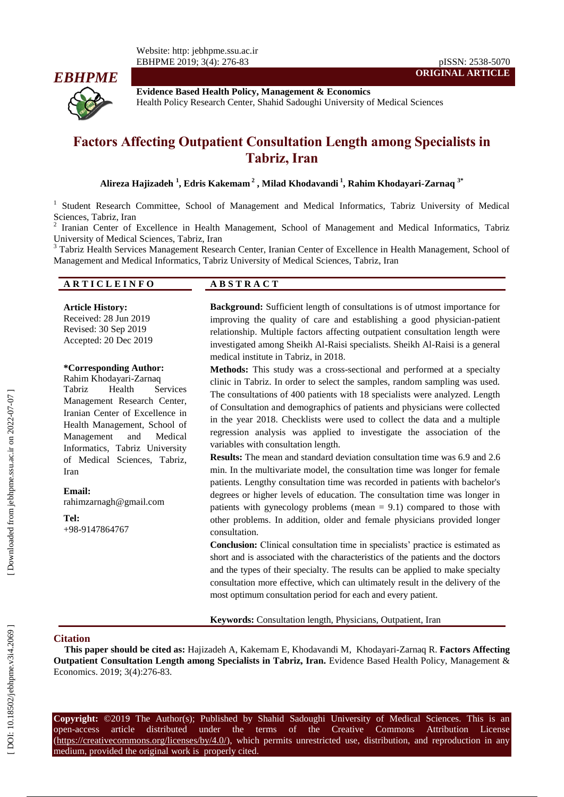

**Evidence Based Health Policy, Management & Economics** Health Policy Research Center, Shahid Sadoughi University of Medical Sciences

# **Factors Affecting Outpatient Consultation Length among Specialists in Tabriz, Iran**

**Alireza Hajizadeh 1 , Edris Kakemam 2 , Milad Khodavandi 1 , Rahim Khodayari -Zarnaq 3 \***

<sup>1</sup> Student Research Committee, School of Management and Medical Informatics, Tabriz University of Medical Sciences, Tabriz, Iran

Iranian Center of Excellence in Health Management, School of Management and Medical Informatics, Tabriz University of Medical Sciences, Tabriz, Iran <sup>3</sup>

<sup>3</sup> Tabriz Health Services Management Research Center, Iranian Center of Excellence in Health Management, School of Management and Medical Informatics, Tabriz University of Medical Sciences, Tabriz, Iran

#### **A R T I C L E I N F O A B S T R A C T**

**Article History:**

Received: 28 Jun 201 9 Revised: 30 Sep 201 9 Accepted: 20 Dec 201 9

#### **\*Corresponding Author:**

Rahim Khodayari -Zarnaq Tabriz Health Services Management Research Center, Iranian Center of Excellence in Health Management, School of Management and Medical Informatics, Tabriz University of Medical Sciences, Tabriz, Iran

**Email:** rahimzarnagh@gmail.com

**Tel:** +98 -9147864767

**Background:** Sufficient length of consultations is of utmost importance for improving the quality of care and establishing a good physician -patient relationship. Multiple factors affecting outpatient consultation length were investigated among Sheikh Al-Raisi specialists. Sheikh Al-Raisi is a general medical institute in Tabriz, in 2018.

**ORIGINAL ARTICLE**

**Methods:** This study was a cross -sectional and performed at a specialty clinic in Tabriz. In order to select the samples, random sampling was used. The consultations of 400 patients with 18 specialists were analyzed. Length of Consultation and demographics of patients and physicians were collected in the year 2018. Checklists were used to collect the data and a multiple regression analysis was applied to investigate the association of the variables with consultation length.

**Results :** The mean and standard deviation consultation time was 6.9 and 2.6 min. In the multivariate model, the consultation time was longer for female patients. Lengthy consultation time was recorded in patients with bachelor's degrees or higher levels of education. The consultation time was longer in patients with gynecology problems (mean = 9.1) compared to those with other problems. In addition, older and female physicians provided longer consultation.

**Conclusion :** Clinical consultation time in specialists' practice is estimated as short and is associated with the characteristics of the patients and the doctors and the types of their specialty. The results can be applied to make specialty consultation more effective, which can ultimately result in the delivery of the most optimum consultation period for each and every patient.

**Keywords:** Consultation length, Physicians, Outpatient, Iran

#### **Citation**

This paper should be cited as: Hajizadeh A, Kakemam E, Khodavandi M, Khodayari-Zarnaq R. Factors Affecting **Outpatient Consultation Length among Specialists in Tabriz, Iran .** Evidence Based Health Policy, Management & Economics. 201 9; 3( 4):276 -83.

**Copyright:** ©201 9 The Author(s); Published by Shahid Sadoughi University of Medical Sciences. This is an open-access -access article distributed under the terms of the Creative Commons Attribution License (https://creativecommons.org/licenses/by/4.0/), which permits unrestricted use, distribution, and reproduction in any medium, provided the original work is properly cited.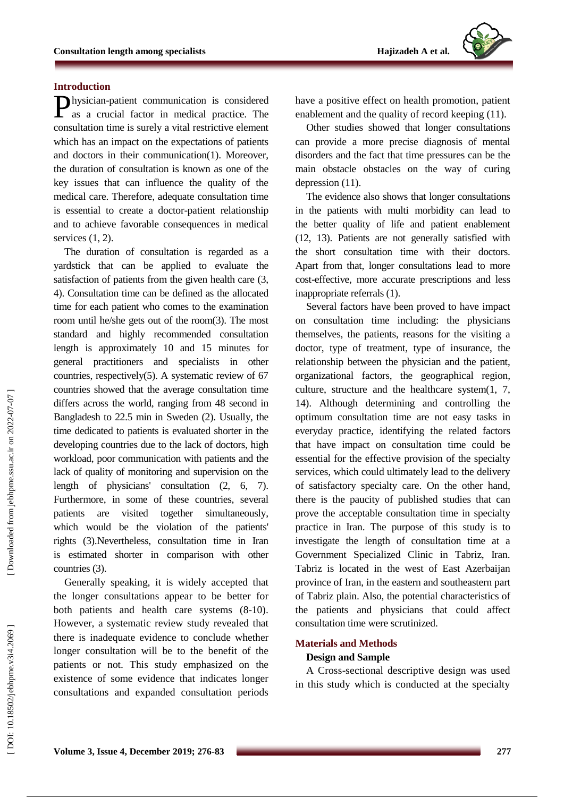# **Introduction**

hysician -patient communication is considered Physician-patient communication is considered<br>as a crucial factor in medical practice. The consultation time is surely a vital restrictive element which has an impact on the expectations of patients and doctor s in their communication(1). Moreover, the duration of consultation is known as one of the key issues that can influence the quality of the medical care. Therefore, adequate consultation time is essential to create a doctor -patient relationship and to achieve favorable consequences in medical services (1, 2) .

The duration of consultation is regarded as a yardstick that can be applied to evaluate the satisfaction of patients from the given health care (3, 4) . Consultation time can be defined as the allocated time for each patient who comes to the examination room until he/she gets out of the room(3). The most standard and highly recommended consultation length is approximately 10 and 15 minutes for general practitioners and specialists in other countries, respectively(5). A systematic review of 67 countries showed that the average consultation time differs across the world, ranging from 48 second in Bangladesh to 22.5 min in Sweden (2) . Usually, the time dedicated to patients is evaluated shorter in the developing countries due to the lack of doctors, high workload, poor communication with patients and the lack of quality of monitoring and supervision on the length of physicians' consultation (2, 6, 7). Furthermore , in some of these countries, several patients are visited together simultaneously, which would be the violation of the patients' rights (3) .Nevertheless, consultation time in Iran is estimated shorter in comparison with other countries (3) .

Generally speaking, it is widely accepted that the longer consultations appear to be better for both patients and health care systems (8-10). However, a systematic review study revealed that there is inadequate evidence to conclude whether longer consultation will be to the benefit of the patients or not. This study emphasized on the existence of some evidence that indicates longer consultations and expanded consultation periods have a positive effect on health promotion, patient enablement and the quality of record keeping (11) .

Other studies showed that longer consultations can provide a more precise diagnosis of mental disorders and the fact that time pressures can be the main obstacle obstacles on the way of curing depression (11) .

The evidence also shows that longer consultations in the patients with multi morbidity can lead to the better quality of life and patient enablement (12, 13) . Patients are not generally satisfied with the short consultation time with their doctors . Apart from that, longer consultations lead to more cost -effective , more accurate prescriptions and less inappropriate referrals (1).

Several factors have been proved to have impact on consultation time including: the physicians themselves, the patients, reasons for the visiting a doctor, type of treatment, type of insurance, the relationship between the physician and the patient, organizational factors, the geographical region, culture, structure and the healthcare system(1, 7, 14) . Although determining and controlling the optimum consultation time are not easy tasks in everyday practice, identifying the related factors that have impact on consultation time could be essential for the effective provision of the specialty services, which could ultimately lead to the delivery of satisfactory specialty care. On the other hand, there is the paucity of published studies that can prove the acceptable consultation time in specialty practice in Iran. The purpose of this study is to investigate the length of consultation time at a Government Specialized Clinic in Tabriz, Iran. Tabriz is located in the west of East Azerbaijan province of Iran, in the eastern and southeastern part of Tabriz plain. Also, the potential characteristics of the patient s and physician s that could affect consultation time were scrutinized .

#### **Materials and Methods**

## **Design and Sample**

A Cross -sectional descriptive design was used in this study which is conducted at the specialty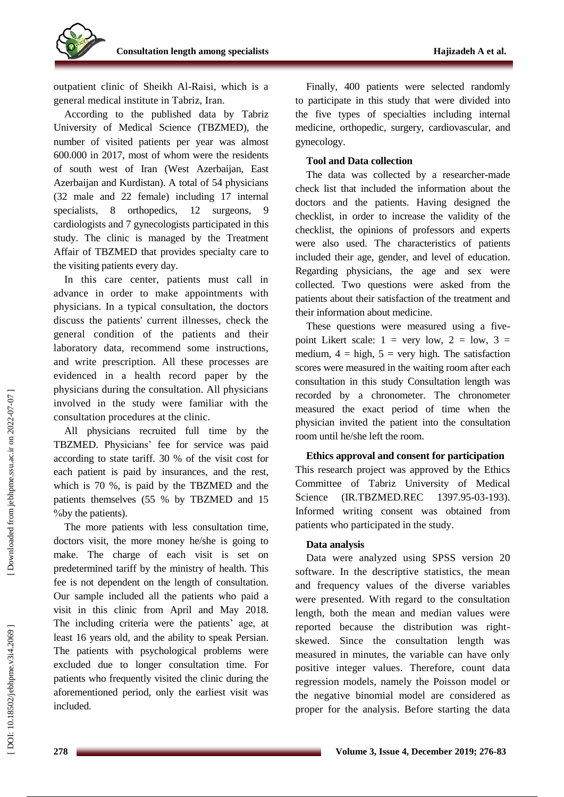

outpatient clinic of Sheikh Al -Raisi, which is a general medical institute in Tabriz, Iran.

According to the published data by Tabriz University of Medical Science (TBZMED), the number of visited patients per year was almost 600.000 in 2017, most of whom were the residents of south west of Iran (West Azerbaijan, East Azerbaijan and Kurdistan). A total of 54 physicians (32 male and 22 female) including 17 internal specialists, 8 orthopedics, 12 surgeons, 9 cardiologists and 7 gynecologists participated in this study. The clinic is managed by the Treatment Affair of TBZMED that provide s specialty care to the visiting patients every day .

In this care center, patients must call in advance in order to make appointment s with physicians. In a typical consultation, the doctors discuss the patients' current illnesses, check the general condition of the patient s and their laboratory data, recommend some instructions , and write prescription . All these processes are evidenced in a health record paper by the physician s during the consultation. All physicians involved in the study were familiar with the consultation procedures at the clinic.

All physicians recruited full time by the TBZMED. Physicians' fee for service was paid according to state tariff. 30 % of the visit cost for each patient is paid by insurances, and the rest, which is 70 % , is paid by the TBZMED and the patients themselves (55 % by TBZMED and 15 %by the patients) .

The more patients with less consultation time , doctor s visit, the more money he/she is going to make. The charge of each visit is set on predetermined tariff by the ministry of health. This fee is not dependent on the length of consultation. Our sample included all the patients who paid a visit in this clinic from April and May 2018. The including criteria were the patients' age, at least 16 years old , and the ability to speak Persian. The patients with psychological problems were excluded due to longer consultation time. For patients who frequently visited the clinic during the aforementioned period, only the earliest visit was included .

Finally, 400 patients were selected randomly to participate in this study that were divided into the five types of specialties including internal medicine, orthopedic, surgery, cardiovascular, and gynecology.

#### **Tool and Data collection**

The data was collected by a researcher -made check list that included the information about the doctors and the patients. Having designed the checklist, in order to increase the validity of the checklist, the opinions of professors and experts were also used . The characteristics of patients included their age, gender, and level of education. Regarding physicians, the age and sex were collected. Two questions were asked from the patients about their satisfaction of the treatment and their information about medicine.

These questions were measured using a fivepoint Likert scale:  $1 = \text{very low}, 2 = \text{low}, 3 =$ medium,  $4 =$  high,  $5 =$  very high. The satisfaction score s were measured in the waiting room after each consultation in this study Consultation length was recorded by a chronometer. The chronometer measured the exact period of time when the physician invite d the patient into the consultation room until he/she left the room.

#### **Ethics approval and consent for participation**

This research project was approved by the Ethics Committee of Tabriz University of Medical Science (IR.TBZMED.REC  $-03-193$ ). Informed writing consent was obtained from patients who participated in the study.

#### **Data analysis**

Data were analyzed using SPSS version 20 software. In the descriptive statistics, the mean and frequency values of the diverse variables were presented. With regard to the consultation length, both the mean and median values were reported because the distribution was right skewed. Since the consultation length was measured in minutes, the variable can have only positive integer values. Therefore, count data regression models, namely the Poisson model or the negative binomial model are considered as proper for the analysis. Before starting the data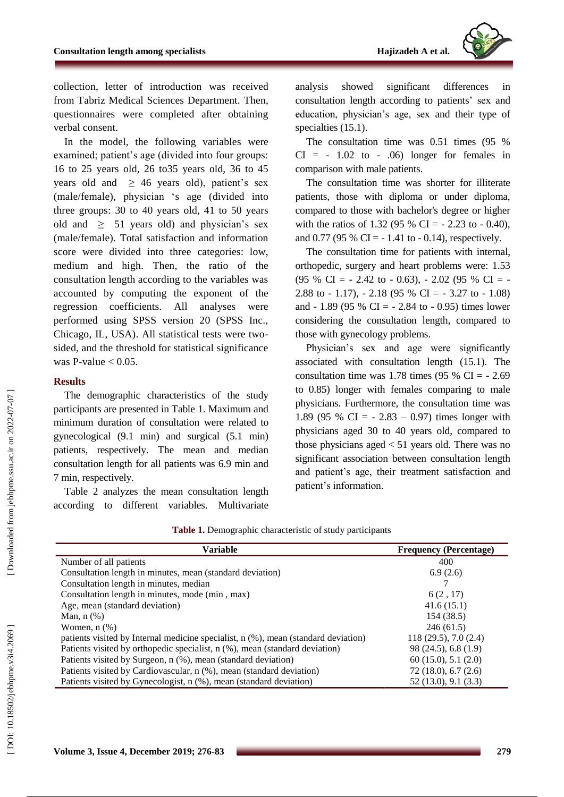

collection, letter of introduction was received from Tabriz Medical Sciences Department. Then, questionnaires were completed after obtaining verbal consent.

In the model, the following variable s were examined; patient's age (divided into four groups: 16 to 25 years old, 26 to35 years old, 36 to 45 years old and  $\geq$  46 years old), patient's sex (male/female), physician 's age (divided into three groups: 30 to 40 years old, 41 to 50 years old and  $\geq$  51 years old) and physician's sex (male/female). Total satisfaction and information score were divided into three categories: low, medium and high. Then, the ratio of the consultation length according to the variables was accounted by computing the exponent of the regression coefficients. All analyses were performed using SPSS version 20 (SPSS Inc., Chicago, IL, USA). All statistical tests were two sided, and the threshold for statistical significance was P-value  $< 0.05$ .

#### **Results**

The demographic characteristics of the study participants are presented in Table 1. Maximum and minimum duration of consultation were related to gynecological (9.1 min) and surgical (5.1 min) patients, respectively . The mean and median consultation length for all patients was 6.9 min and min, respectively.

Table 2 analyzes the mean consultation length according to different variables. Multivariate analysis showed significant differences in consultation length according to patient s' sex and education, physician's age, sex and their type of specialties (15.1) .

The consultation time was 0.51 times (95 %  $CI = -1.02$  to  $- .06$ ) longer for females in comparison with male patients.

The consultation time was shorter for illiterate patients , those with diploma or under diploma, compared to those with bachelor's degree or higher with the ratios of 1.32 (95 % CI =  $- 2.23$  to  $- 0.40$ ), and  $0.77$  (95 % CI =  $-1.41$  to  $-0.14$ ), respectively.

The consultation time for patients with internal, orthopedic, surgery and heart problems were: 1.53  $(95 \% \text{ CI} = -2.42 \text{ to } -0.63)$ ,  $- 2.02 (95 \% \text{ CI} = -1)$ 2.88 to  $-1.17$ ),  $-2.18$  (95 % CI =  $-3.27$  to  $-1.08$ ) and  $-1.89$  (95 % CI =  $-2.84$  to  $-0.95$ ) times lower considering the consultation length, compared to those with gynecology problems.

Physician's sex and age were significantly associated with consultation length (15.1). The consultation time was 1.78 times  $(95 % CI = -2.69)$ to 0.85) longer with females comparing to male physicians. Furthermore, the consultation time was 1.89 (95 % CI =  $- 2.83 - 0.97$ ) times longer with physicians aged 30 to 40 years old, compared to those physicians aged < 51 years old . There was no significant association between consultation length and patient's age, their treatment satisfaction and patient's information.

|                                   | pa<br>cc<br>7 |
|-----------------------------------|---------------|
| Downloaded from jebhpme.ssu.ac.ii | ac            |
|                                   |               |
|                                   |               |
|                                   |               |
|                                   |               |
|                                   |               |

| Variable                                                                           | <b>Frequency (Percentage)</b> |
|------------------------------------------------------------------------------------|-------------------------------|
| Number of all patients                                                             | 400                           |
| Consultation length in minutes, mean (standard deviation)                          | 6.9(2.6)                      |
| Consultation length in minutes, median                                             |                               |
| Consultation length in minutes, mode (min, max)                                    | 6(2, 17)                      |
| Age, mean (standard deviation)                                                     | 41.6(15.1)                    |
| Man, $n$ $(\%)$                                                                    | 154 (38.5)                    |
| Women, $n$ $(\%)$                                                                  | 246(61.5)                     |
| patients visited by Internal medicine specialist, n (%), mean (standard deviation) | 118(29.5), 7.0(2.4)           |
| Patients visited by orthopedic specialist, n (%), mean (standard deviation)        | 98 (24.5), 6.8 (1.9)          |
| Patients visited by Surgeon, n (%), mean (standard deviation)                      | 60(15.0), 5.1(2.0)            |
| Patients visited by Cardiovascular, n (%), mean (standard deviation)               | 72(18.0), 6.7(2.6)            |
| Patients visited by Gynecologist, n (%), mean (standard deviation)                 | 52 (13.0), 9.1 (3.3)          |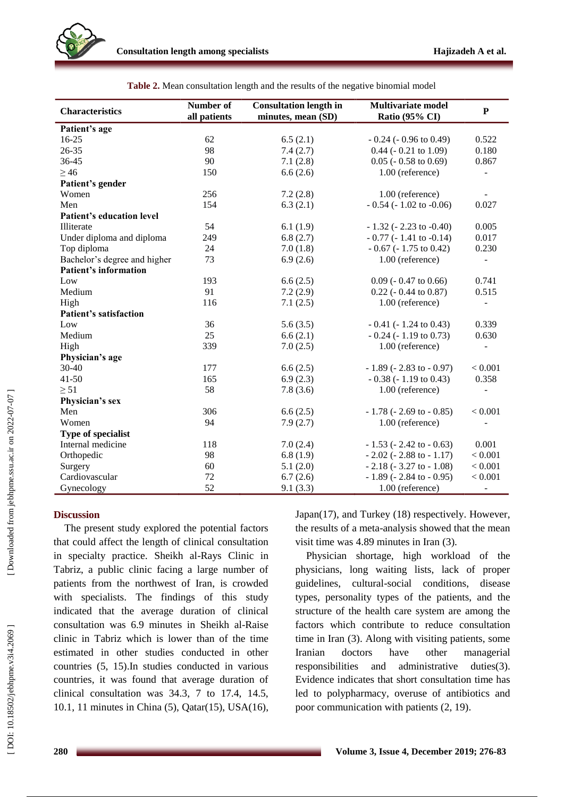

| <b>Characteristics</b>           | Number of<br>all patients | <b>Consultation length in</b><br>minutes, mean (SD) | <b>Multivariate model</b><br>Ratio (95% CI) | P                        |
|----------------------------------|---------------------------|-----------------------------------------------------|---------------------------------------------|--------------------------|
| Patient's age                    |                           |                                                     |                                             |                          |
| 16-25                            | 62                        | 6.5(2.1)                                            | $-0.24$ ( $-0.96$ to 0.49)                  | 0.522                    |
| 26-35                            | 98                        | 7.4(2.7)                                            | $0.44$ ( $-0.21$ to $1.09$ )                | 0.180                    |
| 36-45                            | 90                        | 7.1(2.8)                                            | $0.05$ ( $-0.58$ to $0.69$ )                | 0.867                    |
| $\geq$ 46                        | 150                       | 6.6(2.6)                                            | 1.00 (reference)                            |                          |
| Patient's gender                 |                           |                                                     |                                             |                          |
| Women                            | 256                       | 7.2(2.8)                                            | 1.00 (reference)                            |                          |
| Men                              | 154                       | 6.3(2.1)                                            | $-0.54$ ( $-1.02$ to $-0.06$ )              | 0.027                    |
| <b>Patient's education level</b> |                           |                                                     |                                             |                          |
| Illiterate                       | 54                        | 6.1(1.9)                                            | $-1.32$ ( $-2.23$ to $-0.40$ )              | 0.005                    |
| Under diploma and diploma        | 249                       | 6.8(2.7)                                            | $-0.77$ ( $-1.41$ to $-0.14$ )              | 0.017                    |
| Top diploma                      | 24                        | 7.0(1.8)                                            | $-0.67$ ( $-1.75$ to 0.42)                  | 0.230                    |
| Bachelor's degree and higher     | 73                        | 6.9(2.6)                                            | 1.00 (reference)                            |                          |
| <b>Patient's information</b>     |                           |                                                     |                                             |                          |
| Low                              | 193                       | 6.6(2.5)                                            | $0.09$ ( $-0.47$ to $0.66$ )                | 0.741                    |
| Medium                           | 91                        | 7.2(2.9)                                            | $0.22$ ( $-0.44$ to $0.87$ )                | 0.515                    |
| High                             | 116                       | 7.1(2.5)                                            | 1.00 (reference)                            | $\overline{\phantom{a}}$ |
| <b>Patient's satisfaction</b>    |                           |                                                     |                                             |                          |
| Low                              | 36                        | 5.6(3.5)                                            | $-0.41$ ( $-1.24$ to 0.43)                  | 0.339                    |
| Medium                           | 25                        | 6.6(2.1)                                            | $-0.24$ ( $-1.19$ to 0.73)                  | 0.630                    |
| High                             | 339                       | 7.0(2.5)                                            | 1.00 (reference)                            | $\blacksquare$           |
| Physician's age                  |                           |                                                     |                                             |                          |
| $30 - 40$                        | 177                       | 6.6(2.5)                                            | $-1.89$ ( $-2.83$ to $-0.97$ )              | < 0.001                  |
| $41 - 50$                        | 165                       | 6.9(2.3)                                            | $-0.38$ ( $-1.19$ to 0.43)                  | 0.358                    |
| $\geq 51$                        | 58                        | 7.8(3.6)                                            | 1.00 (reference)                            |                          |
| Physician's sex                  |                           |                                                     |                                             |                          |
| Men                              | 306                       | 6.6(2.5)                                            | $-1.78$ ( $-2.69$ to $-0.85$ )              | < 0.001                  |
| Women                            | 94                        | 7.9(2.7)                                            | 1.00 (reference)                            |                          |
| Type of specialist               |                           |                                                     |                                             |                          |
| Internal medicine                | 118                       | 7.0(2.4)                                            | $-1.53$ ( $-2.42$ to $-0.63$ )              | 0.001                    |
| Orthopedic                       | 98                        | 6.8(1.9)                                            | $-2.02$ ( $-2.88$ to $-1.17$ )              | < 0.001                  |
| Surgery                          | 60                        | 5.1(2.0)                                            | $-2.18$ ( $-3.27$ to $-1.08$ )              | < 0.001                  |
| Cardiovascular                   | 72                        | 6.7(2.6)                                            | $-1.89$ ( $-2.84$ to $-0.95$ )              | < 0.001                  |
| Gynecology                       | 52                        | 9.1(3.3)                                            | 1.00 (reference)                            |                          |

**Table 2 .** Mean consultation length and the results of the negative binomial model

#### **Discussion**

The present study explored the potential factors that could affect the length of clinical consultation in specialty practice. Sheikh al -Rays Clinic in Tabriz, a public clinic facing a large number of patients from the northwest of Iran, is crowded with specialists. The finding s of this study indicated that the average duration of clinical consultation was 6.9 minutes in Sheikh al -Raise clinic in Tabriz which is lower than of the time estimated in other studies conducted in other countries (5, 15) .In studies conducted in various countries, it was found that average duration of clinical consultation was 34.3, 7 to 17.4, 14.5, 10.1, 11 minutes in China (5), Qatar(15), USA(16),

Japan(17) , and Turkey (18) respectively. However, the results of a meta -analysis showed that the mean visit time was 4.89 minutes in Iran (3) .

Physician shortage, high workload of the physicians, long waiting lists, lack of proper guidelines, cultural -social conditions, disease types, personality types of the patients, and the structure of the health care system are among the factors which contribute to reduce consultation time in Iran (3). Along with visiting patients, some Iranian doctors have other managerial responsibilities and administrative duties(3). Evidence indicates that short consultation time has led to polypharmacy, overuse of antibiotics and poor communication with patients (2, 19) .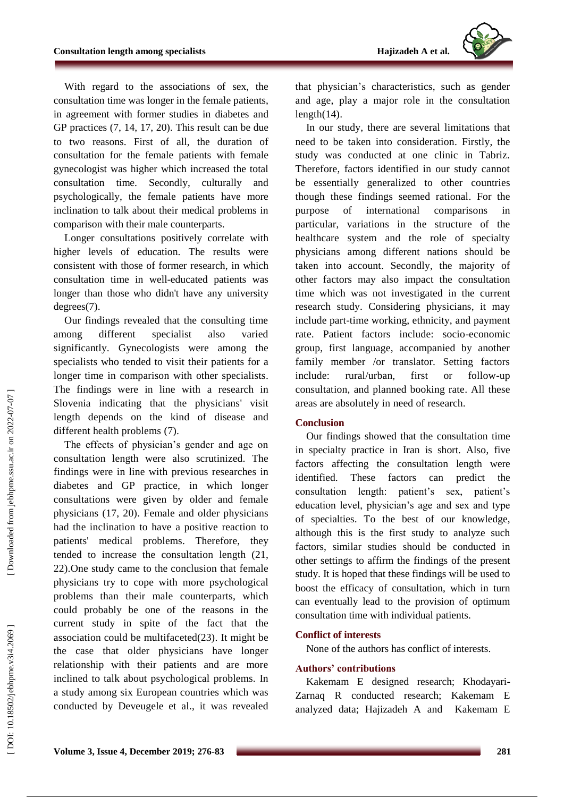

With regard to the associations of sex, the consultation time was longer in the female patients, in agreement with former studies in diabetes and GP practices (7, 14, 17, 20) . This result can be due to two reasons. First of all, the duration of consultation for the female patients with female gynecologist was higher which increased the total consultation time. Secondly, culturally and psychologically, the female patients have more inclination to talk about their medical problems in comparison with their male counterparts.

Longer consultations positively correlate with higher levels of education. The results were consistent with those of former research, in which consultation time in well -educated patients was longer than those who didn't have any university degrees(7) .

Our findings revealed that the consulting time among different specialist also varied significantly. Gynecologists were among the specialists who tended to visit their patients for a longer time in comparison with other specialists. The findings were in line with a research in Slovenia indicating that the physicians' visit length depends on the kind of disease and different health problems (7) .

The effects of physician's gender and age on consultation length were also scrutinized. The findings were in line with previous researches in diabetes and GP practice, in which longer consultations were given by older and female physicians (17, 20). Female and older physicians had the inclination to have a positive reaction to patients' medical problems. Therefore, they tended to increase the consultation length (21, 22) .One study came to the conclusion that female physicians try to cope with more psychological problems than their male counterparts, which could probably be one of the reasons in the current study in spite of the fact that the association could be multifaceted(23). It might be the case that older physicians have longer relationship with their patients and are more inclined to talk about psychological problems. In a study among six European countries which was conducted by Deveugele et al ., it was revealed that physician's characteristics, such as gender and age, play a major role in the consultation length(14) .

In our study , there are several limitations that need to be taken into consideration. Firstly, the study was conducted at one clinic in Tabriz. Therefore, factors identified in our study cannot be essentially generalized to other countries though these findings seemed rational. For the purpose of international comparisons in particular, variations in the structure of the healthcare system and the role of specialty physicians among different nations should be taken into account. Secondly, the majority of other factors may also impact the consultation time which was not investigated in the current research study. Considering physicians , it may include part -time working, ethnicity, and payment rate. Patient factors include: socio -economic group, first language, accompanied by another family member /or translator. Setting factors include: rural/urban, first or follow-up consultation, and planned booking rate. All these areas are absolutely in need of research.

#### **Conclusion**

Our finding s showed that the consultation time in specialty practice in Iran is short. Also, five factors affecting the consultation length were identified. These factors can predict the consultation length: patient's sex, patient's education level, physician's age and sex and type of specialties . To the best of our knowledge, although this is the first study to analyze such factors, similar studies should be conducted in other settings to affirm the findings of the present study. It is hoped that these findings will be used to boost the efficacy of consultation, which in turn can eventually lead to the provision of optimum consultation time with individual patients.

## **Conflict of interest s**

None of the authors has conflict of interests.

#### **Authors' contributions**

Kakemam E designed research; Khodayari - Zarnaq R conducted research; Kakemam E analy zed data; Hajizadeh A and Kakemam E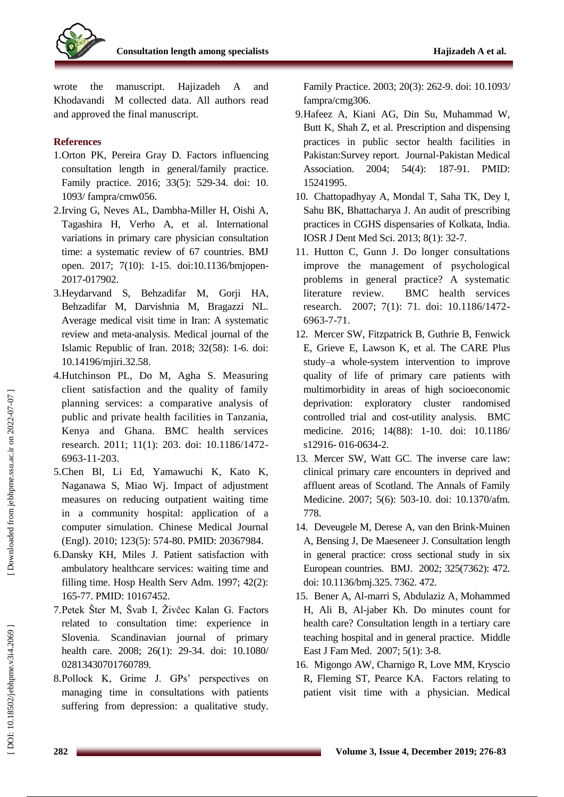

wrote the manuscript. Hajizadeh A and Khodavandi M collected data. All authors read and approved the final manuscript.

#### **References**

- 1.Orton PK, Pereira Gray D. Factors influencing consultation length in general/family practice. Family practice. 2016; 33(5): 529 -34. doi: 10. 1093/ fampra/cmw056.
- 2 .Irving G, Neves AL, Dambha -Miller H, Oishi A, Tagashira H, Verho A, et al. International variations in primary care physician consultation time: a systematic review of 67 countries. BMJ open. 2017; 7(10): 1 -15. doi:10.1136/bmjopen - 2017 -017902 .
- 3 .Heydarvand S, Behzadifar M, Gorji HA, Behzadifar M, Darvishnia M, Bragazzi NL. Average medical visit time in Iran: A systematic review and meta -analysis. Medical journal of the Islamic Republic of Iran. 2018; 32(58) : 1 - 6. doi: 10.14196/mjiri.32.58 .
- 4 .Hutchinson PL, Do M, Agha S. Measuring client satisfaction and the quality of family planning services: a comparative analysis of public and private health facilities in Tanzania, Kenya and Ghana. BMC health services research. 2011; 11(1): 203. doi: 10.1186/1472 - 6963 -11 -203.
- 5 .Chen Bl, Li Ed, Yamawuchi K, Kato K, Naganawa S, Miao Wj. Impact of adjustment measures on reducing outpatient waiting time in a community hospital: application of a computer simulation. Chinese Medical Journal (Engl). 2010; 123(5): 574 -80. PMID: 20367984.
- 6 .Dansky KH, Miles J. Patient satisfaction with ambulatory healthcare services: waiting time and filling time. Hosp Health Serv Adm. 1997; 42(2): 165 -77. PMID: 10167452.
- 7 .Petek Šter M, Švab I, Živčec Kalan G. Factors related to consultation time: experience in Slovenia. Scandinavian journal of primary health care. 2008; 26(1): 29 -34. doi: 10.1080/ 02813430701760789.
- 8 .Pollock K, Grime J. GPs' perspectives on managing time in consultations with patients suffering from depression: a qualitative study.

Family Practice. 2003; 20(3): 262 -9. doi: 10.1093/ fampra/cmg306.

- 9 .Hafeez A, Kiani AG, Din Su, Muhammad W, Butt K, Shah Z, et al. Prescription and dispensing practices in public sector health facilities in Pakistan:Survey report. Journal -Pakistan Medical Association. 2004; 54(4): 187-91. PMID: 15241995.
- 10 . Chattopadhyay A, Mondal T, Saha TK, Dey I, Sahu BK, Bhattacharya J. An audit of prescribing practices in CGHS dispensaries of Kolkata, India. IOSR J Dent Med Sci. 2013; 8(1): 32 -7.
- 11 . Hutton C, Gunn J. Do longer consultations improve the management of psychological problems in general practice? A systematic literature review. BMC health services research. 2007; 7(1): 71. doi: 10.1186/1472 - 6963 - 7 -71.
- 12 . Mercer SW, Fitzpatrick B, Guthrie B, Fenwick E, Grieve E, Lawson K, et al. The CARE Plus study–a whole -system intervention to improve quality of life of primary care patients with multimorbidity in areas of high socioeconomic deprivation: exploratory cluster randomised controlled trial and cost -utility analysis. BMC medicine. 2016; 14(88): 1 -10. doi: 10.1186/ s12916-016-0634-2.
- 13 . Mercer SW, Watt GC. The inverse care law: clinical primary care encounters in deprived and affluent areas of Scotland. The Annals of Family Medicine. 2007; 5(6): 503 -10. doi: 10.1370/afm. 778.
- 14 . Deveugele M, Derese A, van den Brink -Muinen A, Bensing J, De Maeseneer J. Consultation length in general practice: cross sectional study in six European countries. BMJ. 2002; 325(7362): 472. doi: 10.1136/bmj.325. 7362. 472.
- 15 . Bener A, Al -marri S, Abdulaziz A, Mohammed H, Ali B, Al -jaber Kh. Do minutes count for health care? Consultation length in a tertiary care teaching hospital and in general practice. Middle East J Fam Med. 2007; 5(1): 3 -8.
- 16 . Migongo AW, Charnigo R, Love MM, Kryscio R, Fleming ST, Pearce KA. Factors relating to patient visit time with a physician. Medical